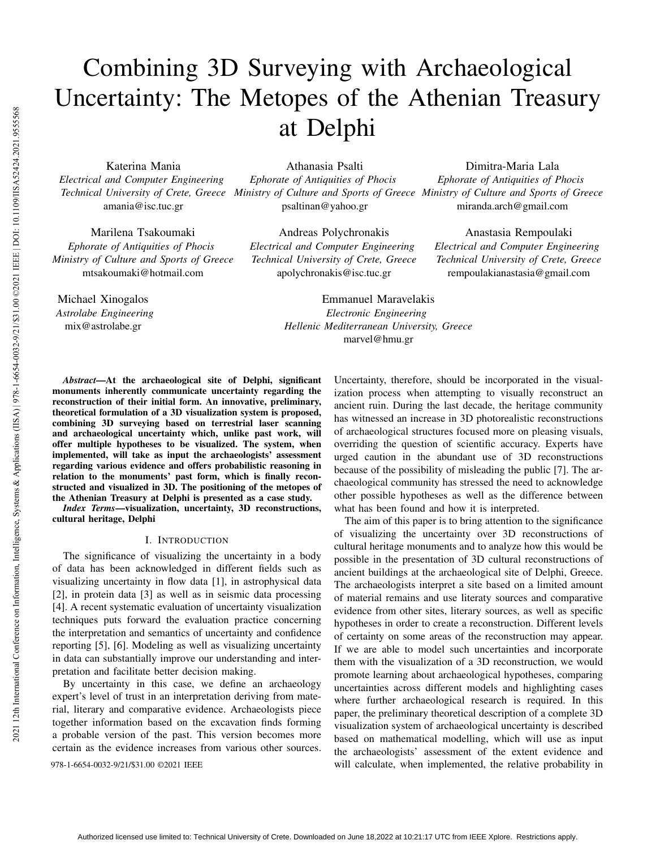# Combining 3D Surveying with Archaeological Uncertainty: The Metopes of the Athenian Treasury at Delphi

Katerina Mania

*Electrical and Computer Engineering* amania@isc.tuc.gr

Marilena Tsakoumaki *Ephorate of Antiquities of Phocis Ministry of Culture and Sports of Greece* mtsakoumaki@hotmail.com

Michael Xinogalos *Astrolabe Engineering* mix@astrolabe.gr

*Technical University of Crete, Greece Ministry of Culture and Sports of Greece Ministry of Culture and Sports of Greece* Athanasia Psalti *Ephorate of Antiquities of Phocis* psaltinan@yahoo.gr

> Andreas Polychronakis *Electrical and Computer Engineering Technical University of Crete, Greece* apolychronakis@isc.tuc.gr

Dimitra-Maria Lala *Ephorate of Antiquities of Phocis* miranda.arch@gmail.com

Anastasia Rempoulaki *Electrical and Computer Engineering Technical University of Crete, Greece* rempoulakianastasia@gmail.com

Emmanuel Maravelakis *Electronic Engineering Hellenic Mediterranean University, Greece* marvel@hmu.gr

*Abstract*—At the archaeological site of Delphi, significant monuments inherently communicate uncertainty regarding the reconstruction of their initial form. An innovative, preliminary, theoretical formulation of a 3D visualization system is proposed, combining 3D surveying based on terrestrial laser scanning and archaeological uncertainty which, unlike past work, will offer multiple hypotheses to be visualized. The system, when implemented, will take as input the archaeologists' assessment regarding various evidence and offers probabilistic reasoning in relation to the monuments' past form, which is finally reconstructed and visualized in 3D. The positioning of the metopes of the Athenian Treasury at Delphi is presented as a case study.

*Index Terms*—visualization, uncertainty, 3D reconstructions, cultural heritage, Delphi

## I. INTRODUCTION

The significance of visualizing the uncertainty in a body of data has been acknowledged in different fields such as visualizing uncertainty in flow data [1], in astrophysical data [2], in protein data [3] as well as in seismic data processing [4]. A recent systematic evaluation of uncertainty visualization techniques puts forward the evaluation practice concerning the interpretation and semantics of uncertainty and confidence reporting [5], [6]. Modeling as well as visualizing uncertainty in data can substantially improve our understanding and interpretation and facilitate better decision making.

By uncertainty in this case, we define an archaeology expert's level of trust in an interpretation deriving from material, literary and comparative evidence. Archaeologists piece together information based on the excavation finds forming a probable version of the past. This version becomes more certain as the evidence increases from various other sources.

Uncertainty, therefore, should be incorporated in the visualization process when attempting to visually reconstruct an ancient ruin. During the last decade, the heritage community has witnessed an increase in 3D photorealistic reconstructions of archaeological structures focused more on pleasing visuals, overriding the question of scientific accuracy. Experts have urged caution in the abundant use of 3D reconstructions because of the possibility of misleading the public [7]. The archaeological community has stressed the need to acknowledge other possible hypotheses as well as the difference between what has been found and how it is interpreted.

The aim of this paper is to bring attention to the significance of visualizing the uncertainty over 3D reconstructions of cultural heritage monuments and to analyze how this would be possible in the presentation of 3D cultural reconstructions of ancient buildings at the archaeological site of Delphi, Greece. The archaeologists interpret a site based on a limited amount of material remains and use literaty sources and comparative evidence from other sites, literary sources, as well as specific hypotheses in order to create a reconstruction. Different levels of certainty on some areas of the reconstruction may appear. If we are able to model such uncertainties and incorporate them with the visualization of a 3D reconstruction, we would promote learning about archaeological hypotheses, comparing uncertainties across different models and highlighting cases where further archaeological research is required. In this paper, the preliminary theoretical description of a complete 3D visualization system of archaeological uncertainty is described based on mathematical modelling, which will use as input the archaeologists' assessment of the extent evidence and 978-1-6654-0032-9/21/\$31.00 ©2021 IEEE will calculate, when implemented, the relative probability in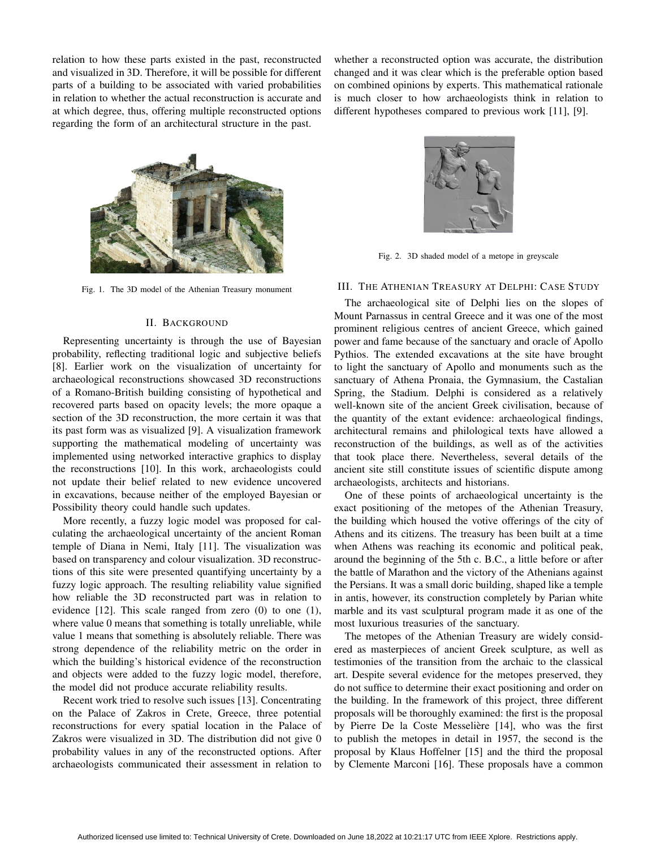relation to how these parts existed in the past, reconstructed and visualized in 3D. Therefore, it will be possible for different parts of a building to be associated with varied probabilities in relation to whether the actual reconstruction is accurate and at which degree, thus, offering multiple reconstructed options regarding the form of an architectural structure in the past.

whether a reconstructed option was accurate, the distribution changed and it was clear which is the preferable option based on combined opinions by experts. This mathematical rationale is much closer to how archaeologists think in relation to different hypotheses compared to previous work [11], [9].



Fig. 1. The 3D model of the Athenian Treasury monument

#### II. BACKGROUND

Representing uncertainty is through the use of Bayesian probability, reflecting traditional logic and subjective beliefs [8]. Earlier work on the visualization of uncertainty for archaeological reconstructions showcased 3D reconstructions of a Romano-British building consisting of hypothetical and recovered parts based on opacity levels; the more opaque a section of the 3D reconstruction, the more certain it was that its past form was as visualized [9]. A visualization framework supporting the mathematical modeling of uncertainty was implemented using networked interactive graphics to display the reconstructions [10]. In this work, archaeologists could not update their belief related to new evidence uncovered in excavations, because neither of the employed Bayesian or Possibility theory could handle such updates.

More recently, a fuzzy logic model was proposed for calculating the archaeological uncertainty of the ancient Roman temple of Diana in Nemi, Italy [11]. The visualization was based on transparency and colour visualization. 3D reconstructions of this site were presented quantifying uncertainty by a fuzzy logic approach. The resulting reliability value signified how reliable the 3D reconstructed part was in relation to evidence [12]. This scale ranged from zero (0) to one (1), where value 0 means that something is totally unreliable, while value 1 means that something is absolutely reliable. There was strong dependence of the reliability metric on the order in which the building's historical evidence of the reconstruction and objects were added to the fuzzy logic model, therefore, the model did not produce accurate reliability results.

Recent work tried to resolve such issues [13]. Concentrating on the Palace of Zakros in Crete, Greece, three potential reconstructions for every spatial location in the Palace of Zakros were visualized in 3D. The distribution did not give 0 probability values in any of the reconstructed options. After archaeologists communicated their assessment in relation to



Fig. 2. 3D shaded model of a metope in greyscale

## III. THE ATHENIAN TREASURY AT DELPHI: CASE STUDY

The archaeological site of Delphi lies on the slopes of Mount Parnassus in central Greece and it was one of the most prominent religious centres of ancient Greece, which gained power and fame because of the sanctuary and oracle of Apollo Pythios. The extended excavations at the site have brought to light the sanctuary of Apollo and monuments such as the sanctuary of Athena Pronaia, the Gymnasium, the Castalian Spring, the Stadium. Delphi is considered as a relatively well-known site of the ancient Greek civilisation, because of the quantity of the extant evidence: archaeological findings, architectural remains and philological texts have allowed a reconstruction of the buildings, as well as of the activities that took place there. Nevertheless, several details of the ancient site still constitute issues of scientific dispute among archaeologists, architects and historians.

One of these points of archaeological uncertainty is the exact positioning of the metopes of the Athenian Treasury, the building which housed the votive offerings of the city of Athens and its citizens. The treasury has been built at a time when Athens was reaching its economic and political peak, around the beginning of the 5th c. B.C., a little before or after the battle of Marathon and the victory of the Athenians against the Persians. It was a small doric building, shaped like a temple in antis, however, its construction completely by Parian white marble and its vast sculptural program made it as one of the most luxurious treasuries of the sanctuary.

The metopes of the Athenian Treasury are widely considered as masterpieces of ancient Greek sculpture, as well as testimonies of the transition from the archaic to the classical art. Despite several evidence for the metopes preserved, they do not suffice to determine their exact positioning and order on the building. In the framework of this project, three different proposals will be thoroughly examined: the first is the proposal by Pierre De la Coste Messelière [14], who was the first to publish the metopes in detail in 1957, the second is the proposal by Klaus Hoffelner [15] and the third the proposal by Clemente Marconi [16]. These proposals have a common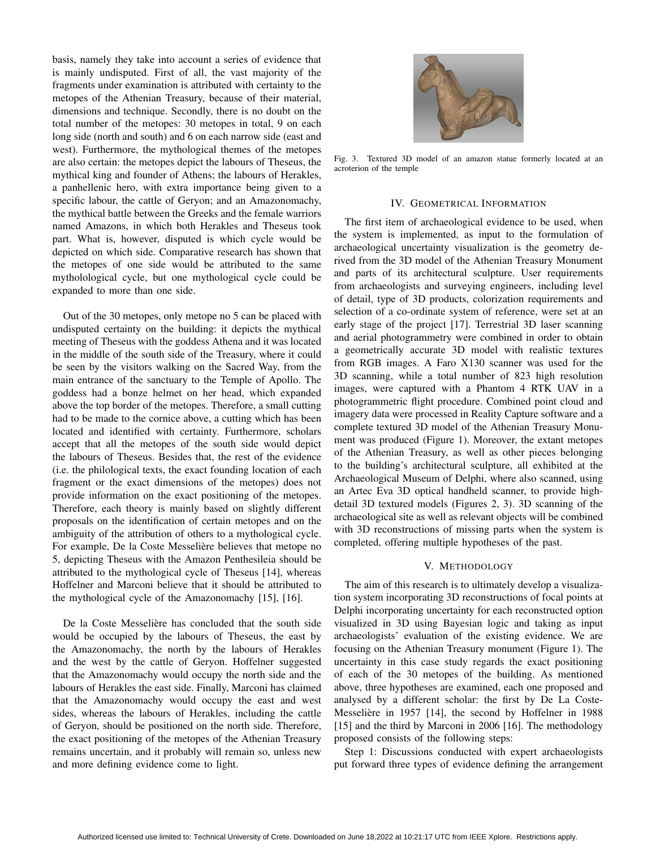basis, namely they take into account a series of evidence that is mainly undisputed. First of all, the vast majority of the fragments under examination is attributed with certainty to the metopes of the Athenian Treasury, because of their material, dimensions and technique. Secondly, there is no doubt on the total number of the metopes: 30 metopes in total, 9 on each long side (north and south) and 6 on each narrow side (east and west). Furthermore, the mythological themes of the metopes are also certain: the metopes depict the labours of Theseus, the mythical king and founder of Athens; the labours of Herakles, a panhellenic hero, with extra importance being given to a specific labour, the cattle of Geryon; and an Amazonomachy, the mythical battle between the Greeks and the female warriors named Amazons, in which both Herakles and Theseus took part. What is, however, disputed is which cycle would be depicted on which side. Comparative research has shown that the metopes of one side would be attributed to the same mytholological cycle, but one mythological cycle could be expanded to more than one side.

Out of the 30 metopes, only metope no 5 can be placed with undisputed certainty on the building: it depicts the mythical meeting of Theseus with the goddess Athena and it was located in the middle of the south side of the Treasury, where it could be seen by the visitors walking on the Sacred Way, from the main entrance of the sanctuary to the Temple of Apollo. The goddess had a bonze helmet on her head, which expanded above the top border of the metopes. Therefore, a small cutting had to be made to the cornice above, a cutting which has been located and identified with certainty. Furthermore, scholars accept that all the metopes of the south side would depict the labours of Theseus. Besides that, the rest of the evidence (i.e. the philological texts, the exact founding location of each fragment or the exact dimensions of the metopes) does not provide information on the exact positioning of the metopes. Therefore, each theory is mainly based on slightly different proposals on the identification of certain metopes and on the ambiguity of the attribution of others to a mythological cycle. For example, De la Coste Messelière believes that metope no 5, depicting Theseus with the Amazon Penthesileia should be attributed to the mythological cycle of Theseus [14], whereas Hoffelner and Marconi believe that it should be attributed to the mythological cycle of the Amazonomachy [15], [16].

De la Coste Messeliere has concluded that the south side ` would be occupied by the labours of Theseus, the east by the Amazonomachy, the north by the labours of Herakles and the west by the cattle of Geryon. Hoffelner suggested that the Amazonomachy would occupy the north side and the labours of Herakles the east side. Finally, Marconi has claimed that the Amazonomachy would occupy the east and west sides, whereas the labours of Herakles, including the cattle of Geryon, should be positioned on the north side. Therefore, the exact positioning of the metopes of the Athenian Treasury remains uncertain, and it probably will remain so, unless new and more defining evidence come to light.



Fig. 3. Textured 3D model of an amazon statue formerly located at an acroterion of the temple

#### IV. GEOMETRICAL INFORMATION

The first item of archaeological evidence to be used, when the system is implemented, as input to the formulation of archaeological uncertainty visualization is the geometry derived from the 3D model of the Athenian Treasury Monument and parts of its architectural sculpture. User requirements from archaeologists and surveying engineers, including level of detail, type of 3D products, colorization requirements and selection of a co-ordinate system of reference, were set at an early stage of the project [17]. Terrestrial 3D laser scanning and aerial photogrammetry were combined in order to obtain a geometrically accurate 3D model with realistic textures from RGB images. A Faro X130 scanner was used for the 3D scanning, while a total number of 823 high resolution images, were captured with a Phantom 4 RTK UAV in a photogrammetric flight procedure. Combined point cloud and imagery data were processed in Reality Capture software and a complete textured 3D model of the Athenian Treasury Monument was produced (Figure 1). Moreover, the extant metopes of the Athenian Treasury, as well as other pieces belonging to the building's architectural sculpture, all exhibited at the Archaeological Museum of Delphi, where also scanned, using an Artec Eva 3D optical handheld scanner, to provide highdetail 3D textured models (Figures 2, 3). 3D scanning of the archaeological site as well as relevant objects will be combined with 3D reconstructions of missing parts when the system is completed, offering multiple hypotheses of the past.

#### V. METHODOLOGY

The aim of this research is to ultimately develop a visualization system incorporating 3D reconstructions of focal points at Delphi incorporating uncertainty for each reconstructed option visualized in 3D using Bayesian logic and taking as input archaeologists' evaluation of the existing evidence. We are focusing on the Athenian Treasury monument (Figure 1). The uncertainty in this case study regards the exact positioning of each of the 30 metopes of the building. As mentioned above, three hypotheses are examined, each one proposed and analysed by a different scholar: the first by De La Coste-Messelière in 1957 [14], the second by Hoffelner in 1988 [15] and the third by Marconi in 2006 [16]. The methodology proposed consists of the following steps:

Step 1: Discussions conducted with expert archaeologists put forward three types of evidence defining the arrangement